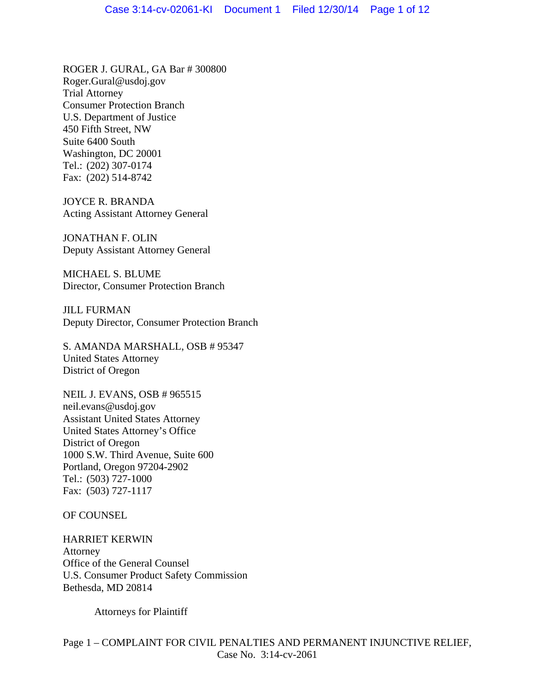ROGER J. GURAL, GA Bar # 300800 Roger.Gural@usdoj.gov Trial Attorney Consumer Protection Branch U.S. Department of Justice 450 Fifth Street, NW Suite 6400 South Washington, DC 20001 Tel.: (202) 307-0174 Fax: (202) 514-8742

JOYCE R. BRANDA Acting Assistant Attorney General

JONATHAN F. OLIN Deputy Assistant Attorney General

MICHAEL S. BLUME Director, Consumer Protection Branch

JILL FURMAN Deputy Director, Consumer Protection Branch

S. AMANDA MARSHALL, OSB # 95347 United States Attorney District of Oregon

NEIL J. EVANS, OSB # 965515 neil.evans@usdoj.gov Assistant United States Attorney United States Attorney's Office District of Oregon 1000 S.W. Third Avenue, Suite 600 Portland, Oregon 97204-2902 Tel.: (503) 727-1000 Fax: (503) 727-1117

OF COUNSEL

HARRIET KERWIN Attorney Office of the General Counsel U.S. Consumer Product Safety Commission Bethesda, MD 20814

Attorneys for Plaintiff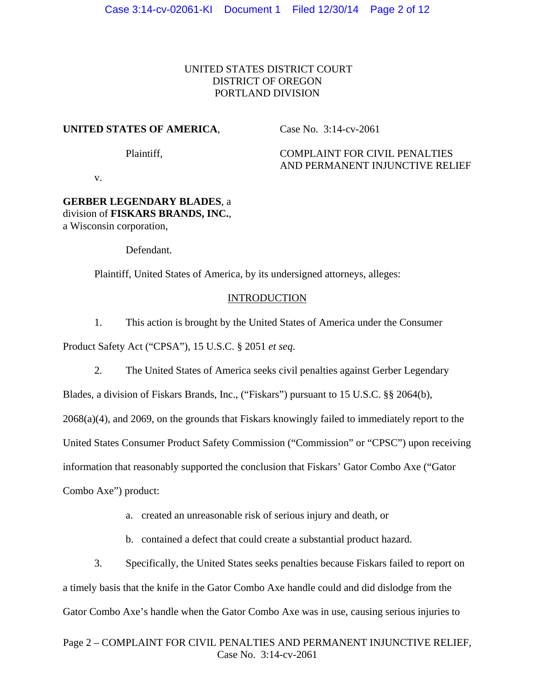# UNITED STATES DISTRICT COURT DISTRICT OF OREGON PORTLAND DIVISION

### **UNITED STATES OF AMERICA**,

Case No. 3:14-cv-2061

Plaintiff,

# COMPLAINT FOR CIVIL PENALTIES AND PERMANENT INJUNCTIVE RELIEF

v.

## **GERBER LEGENDARY BLADES**, a division of **FISKARS BRANDS, INC.**, a Wisconsin corporation,

Defendant.

Plaintiff, United States of America, by its undersigned attorneys, alleges:

## **INTRODUCTION**

1. This action is brought by the United States of America under the Consumer

Product Safety Act ("CPSA"), 15 U.S.C. § 2051 *et seq*.

2. The United States of America seeks civil penalties against Gerber Legendary

Blades, a division of Fiskars Brands, Inc., ("Fiskars") pursuant to 15 U.S.C. §§ 2064(b),

2068(a)(4), and 2069, on the grounds that Fiskars knowingly failed to immediately report to the

United States Consumer Product Safety Commission ("Commission" or "CPSC") upon receiving

information that reasonably supported the conclusion that Fiskars' Gator Combo Axe ("Gator

Combo Axe") product:

- a. created an unreasonable risk of serious injury and death, or
- b. contained a defect that could create a substantial product hazard.

3. Specifically, the United States seeks penalties because Fiskars failed to report on a timely basis that the knife in the Gator Combo Axe handle could and did dislodge from the Gator Combo Axe's handle when the Gator Combo Axe was in use, causing serious injuries to

## Page 2 – COMPLAINT FOR CIVIL PENALTIES AND PERMANENT INJUNCTIVE RELIEF, Case No. 3:14-cv-2061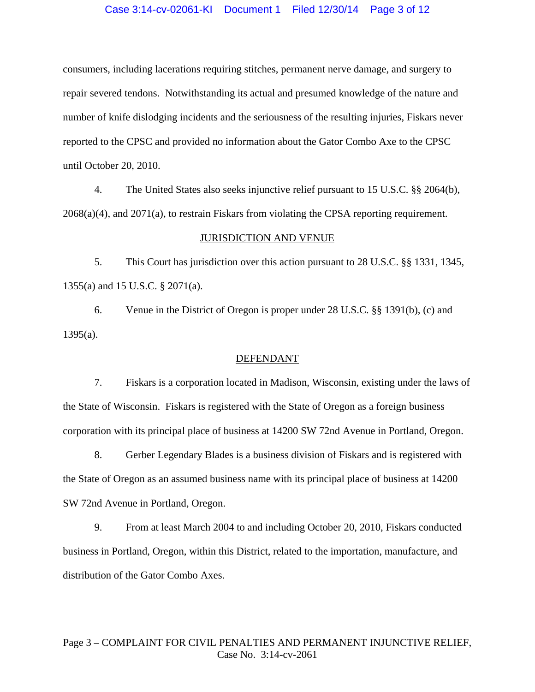### Case 3:14-cv-02061-KI Document 1 Filed 12/30/14 Page 3 of 12

consumers, including lacerations requiring stitches, permanent nerve damage, and surgery to repair severed tendons. Notwithstanding its actual and presumed knowledge of the nature and number of knife dislodging incidents and the seriousness of the resulting injuries, Fiskars never reported to the CPSC and provided no information about the Gator Combo Axe to the CPSC until October 20, 2010.

4. The United States also seeks injunctive relief pursuant to 15 U.S.C. §§ 2064(b), 2068(a)(4), and 2071(a), to restrain Fiskars from violating the CPSA reporting requirement.

#### JURISDICTION AND VENUE

5. This Court has jurisdiction over this action pursuant to 28 U.S.C. §§ 1331, 1345, 1355(a) and 15 U.S.C. § 2071(a).

6. Venue in the District of Oregon is proper under 28 U.S.C. §§ 1391(b), (c) and 1395(a).

#### DEFENDANT

7. Fiskars is a corporation located in Madison, Wisconsin, existing under the laws of the State of Wisconsin. Fiskars is registered with the State of Oregon as a foreign business corporation with its principal place of business at 14200 SW 72nd Avenue in Portland, Oregon.

8. Gerber Legendary Blades is a business division of Fiskars and is registered with the State of Oregon as an assumed business name with its principal place of business at 14200 SW 72nd Avenue in Portland, Oregon.

9. From at least March 2004 to and including October 20, 2010, Fiskars conducted business in Portland, Oregon, within this District, related to the importation, manufacture, and distribution of the Gator Combo Axes.

# Page 3 – COMPLAINT FOR CIVIL PENALTIES AND PERMANENT INJUNCTIVE RELIEF, Case No. 3:14-cv-2061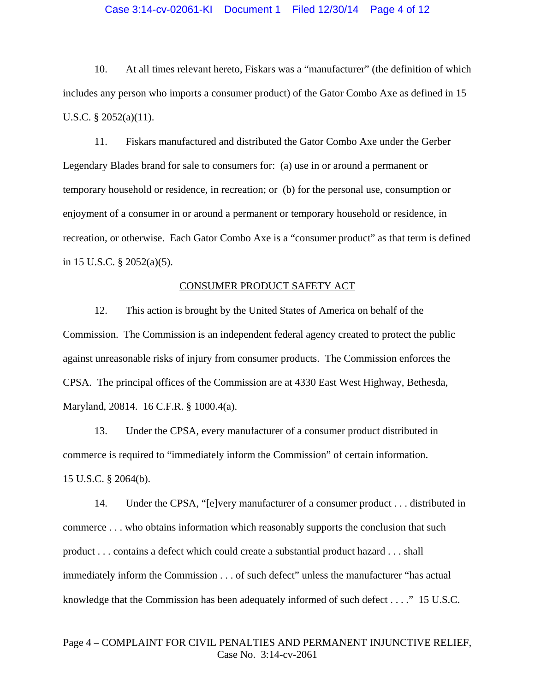### Case 3:14-cv-02061-KI Document 1 Filed 12/30/14 Page 4 of 12

10. At all times relevant hereto, Fiskars was a "manufacturer" (the definition of which includes any person who imports a consumer product) of the Gator Combo Axe as defined in 15 U.S.C. § 2052(a)(11).

11. Fiskars manufactured and distributed the Gator Combo Axe under the Gerber Legendary Blades brand for sale to consumers for: (a) use in or around a permanent or temporary household or residence, in recreation; or (b) for the personal use, consumption or enjoyment of a consumer in or around a permanent or temporary household or residence, in recreation, or otherwise. Each Gator Combo Axe is a "consumer product" as that term is defined in 15 U.S.C. § 2052(a)(5).

#### CONSUMER PRODUCT SAFETY ACT

12. This action is brought by the United States of America on behalf of the Commission. The Commission is an independent federal agency created to protect the public against unreasonable risks of injury from consumer products. The Commission enforces the CPSA. The principal offices of the Commission are at 4330 East West Highway, Bethesda, Maryland, 20814. 16 C.F.R. § 1000.4(a).

13. Under the CPSA, every manufacturer of a consumer product distributed in commerce is required to "immediately inform the Commission" of certain information. 15 U.S.C. § 2064(b).

14. Under the CPSA, "[e]very manufacturer of a consumer product . . . distributed in commerce . . . who obtains information which reasonably supports the conclusion that such product . . . contains a defect which could create a substantial product hazard . . . shall immediately inform the Commission . . . of such defect" unless the manufacturer "has actual knowledge that the Commission has been adequately informed of such defect . . . ." 15 U.S.C.

## Page 4 – COMPLAINT FOR CIVIL PENALTIES AND PERMANENT INJUNCTIVE RELIEF, Case No. 3:14-cv-2061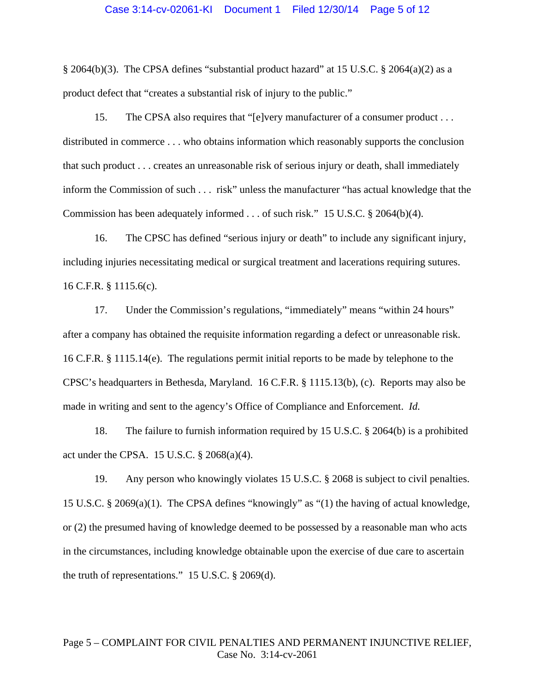### Case 3:14-cv-02061-KI Document 1 Filed 12/30/14 Page 5 of 12

§ 2064(b)(3). The CPSA defines "substantial product hazard" at 15 U.S.C. § 2064(a)(2) as a product defect that "creates a substantial risk of injury to the public."

15. The CPSA also requires that "[e]very manufacturer of a consumer product . . . distributed in commerce . . . who obtains information which reasonably supports the conclusion that such product . . . creates an unreasonable risk of serious injury or death, shall immediately inform the Commission of such . . . risk" unless the manufacturer "has actual knowledge that the Commission has been adequately informed . . . of such risk." 15 U.S.C. § 2064(b)(4).

16. The CPSC has defined "serious injury or death" to include any significant injury, including injuries necessitating medical or surgical treatment and lacerations requiring sutures. 16 C.F.R. § 1115.6(c).

17. Under the Commission's regulations, "immediately" means "within 24 hours" after a company has obtained the requisite information regarding a defect or unreasonable risk. 16 C.F.R. § 1115.14(e). The regulations permit initial reports to be made by telephone to the CPSC's headquarters in Bethesda, Maryland. 16 C.F.R. § 1115.13(b), (c). Reports may also be made in writing and sent to the agency's Office of Compliance and Enforcement. *Id.*

18. The failure to furnish information required by 15 U.S.C. § 2064(b) is a prohibited act under the CPSA. 15 U.S.C. § 2068(a)(4).

19. Any person who knowingly violates 15 U.S.C. § 2068 is subject to civil penalties. 15 U.S.C. § 2069(a)(1). The CPSA defines "knowingly" as "(1) the having of actual knowledge, or (2) the presumed having of knowledge deemed to be possessed by a reasonable man who acts in the circumstances, including knowledge obtainable upon the exercise of due care to ascertain the truth of representations." 15 U.S.C. § 2069(d).

## Page 5 – COMPLAINT FOR CIVIL PENALTIES AND PERMANENT INJUNCTIVE RELIEF, Case No. 3:14-cv-2061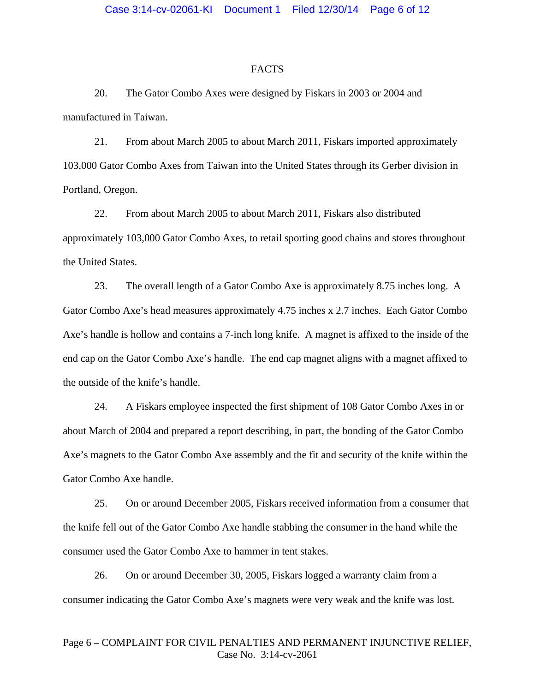#### FACTS

20. The Gator Combo Axes were designed by Fiskars in 2003 or 2004 and manufactured in Taiwan.

21. From about March 2005 to about March 2011, Fiskars imported approximately 103,000 Gator Combo Axes from Taiwan into the United States through its Gerber division in Portland, Oregon.

22. From about March 2005 to about March 2011, Fiskars also distributed approximately 103,000 Gator Combo Axes, to retail sporting good chains and stores throughout the United States.

23. The overall length of a Gator Combo Axe is approximately 8.75 inches long. A Gator Combo Axe's head measures approximately 4.75 inches x 2.7 inches. Each Gator Combo Axe's handle is hollow and contains a 7-inch long knife. A magnet is affixed to the inside of the end cap on the Gator Combo Axe's handle. The end cap magnet aligns with a magnet affixed to the outside of the knife's handle.

24. A Fiskars employee inspected the first shipment of 108 Gator Combo Axes in or about March of 2004 and prepared a report describing, in part, the bonding of the Gator Combo Axe's magnets to the Gator Combo Axe assembly and the fit and security of the knife within the Gator Combo Axe handle.

25. On or around December 2005, Fiskars received information from a consumer that the knife fell out of the Gator Combo Axe handle stabbing the consumer in the hand while the consumer used the Gator Combo Axe to hammer in tent stakes.

26. On or around December 30, 2005, Fiskars logged a warranty claim from a consumer indicating the Gator Combo Axe's magnets were very weak and the knife was lost.

## Page 6 – COMPLAINT FOR CIVIL PENALTIES AND PERMANENT INJUNCTIVE RELIEF, Case No. 3:14-cv-2061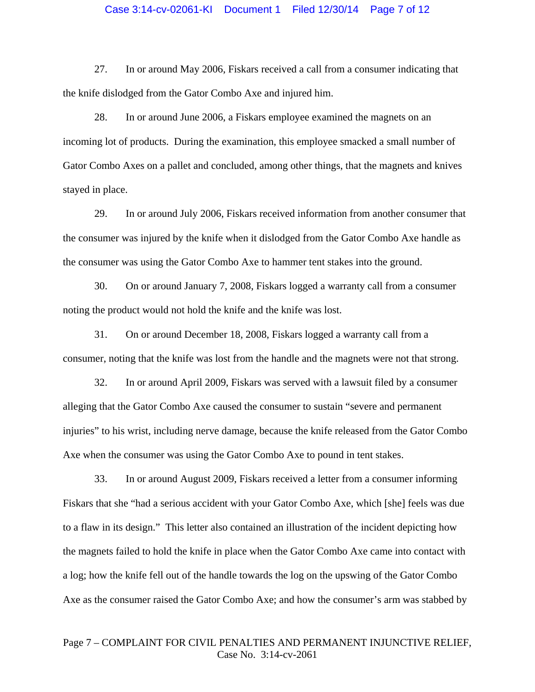### Case 3:14-cv-02061-KI Document 1 Filed 12/30/14 Page 7 of 12

27. In or around May 2006, Fiskars received a call from a consumer indicating that the knife dislodged from the Gator Combo Axe and injured him.

28. In or around June 2006, a Fiskars employee examined the magnets on an incoming lot of products. During the examination, this employee smacked a small number of Gator Combo Axes on a pallet and concluded, among other things, that the magnets and knives stayed in place.

29. In or around July 2006, Fiskars received information from another consumer that the consumer was injured by the knife when it dislodged from the Gator Combo Axe handle as the consumer was using the Gator Combo Axe to hammer tent stakes into the ground.

30. On or around January 7, 2008, Fiskars logged a warranty call from a consumer noting the product would not hold the knife and the knife was lost.

31. On or around December 18, 2008, Fiskars logged a warranty call from a consumer, noting that the knife was lost from the handle and the magnets were not that strong.

32. In or around April 2009, Fiskars was served with a lawsuit filed by a consumer alleging that the Gator Combo Axe caused the consumer to sustain "severe and permanent injuries" to his wrist, including nerve damage, because the knife released from the Gator Combo Axe when the consumer was using the Gator Combo Axe to pound in tent stakes.

33. In or around August 2009, Fiskars received a letter from a consumer informing Fiskars that she "had a serious accident with your Gator Combo Axe, which [she] feels was due to a flaw in its design." This letter also contained an illustration of the incident depicting how the magnets failed to hold the knife in place when the Gator Combo Axe came into contact with a log; how the knife fell out of the handle towards the log on the upswing of the Gator Combo Axe as the consumer raised the Gator Combo Axe; and how the consumer's arm was stabbed by

## Page 7 – COMPLAINT FOR CIVIL PENALTIES AND PERMANENT INJUNCTIVE RELIEF, Case No. 3:14-cv-2061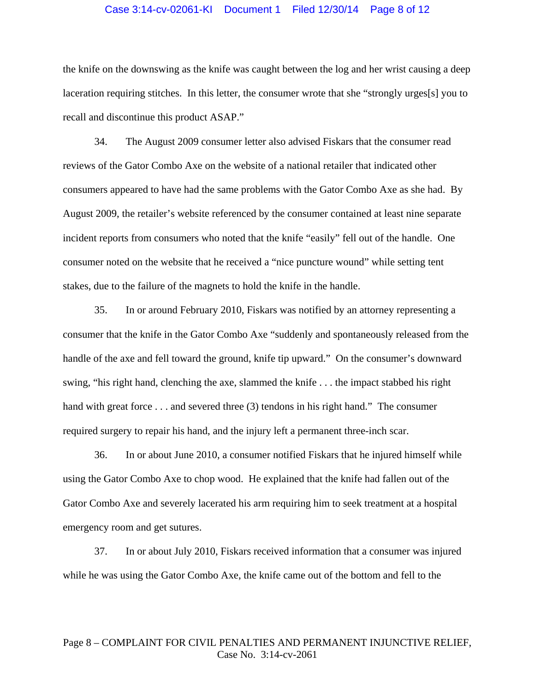### Case 3:14-cv-02061-KI Document 1 Filed 12/30/14 Page 8 of 12

the knife on the downswing as the knife was caught between the log and her wrist causing a deep laceration requiring stitches. In this letter, the consumer wrote that she "strongly urges[s] you to recall and discontinue this product ASAP."

34. The August 2009 consumer letter also advised Fiskars that the consumer read reviews of the Gator Combo Axe on the website of a national retailer that indicated other consumers appeared to have had the same problems with the Gator Combo Axe as she had. By August 2009, the retailer's website referenced by the consumer contained at least nine separate incident reports from consumers who noted that the knife "easily" fell out of the handle. One consumer noted on the website that he received a "nice puncture wound" while setting tent stakes, due to the failure of the magnets to hold the knife in the handle.

35. In or around February 2010, Fiskars was notified by an attorney representing a consumer that the knife in the Gator Combo Axe "suddenly and spontaneously released from the handle of the axe and fell toward the ground, knife tip upward." On the consumer's downward swing, "his right hand, clenching the axe, slammed the knife . . . the impact stabbed his right hand with great force . . . and severed three (3) tendons in his right hand." The consumer required surgery to repair his hand, and the injury left a permanent three-inch scar.

36. In or about June 2010, a consumer notified Fiskars that he injured himself while using the Gator Combo Axe to chop wood. He explained that the knife had fallen out of the Gator Combo Axe and severely lacerated his arm requiring him to seek treatment at a hospital emergency room and get sutures.

37. In or about July 2010, Fiskars received information that a consumer was injured while he was using the Gator Combo Axe, the knife came out of the bottom and fell to the

### Page 8 – COMPLAINT FOR CIVIL PENALTIES AND PERMANENT INJUNCTIVE RELIEF, Case No. 3:14-cv-2061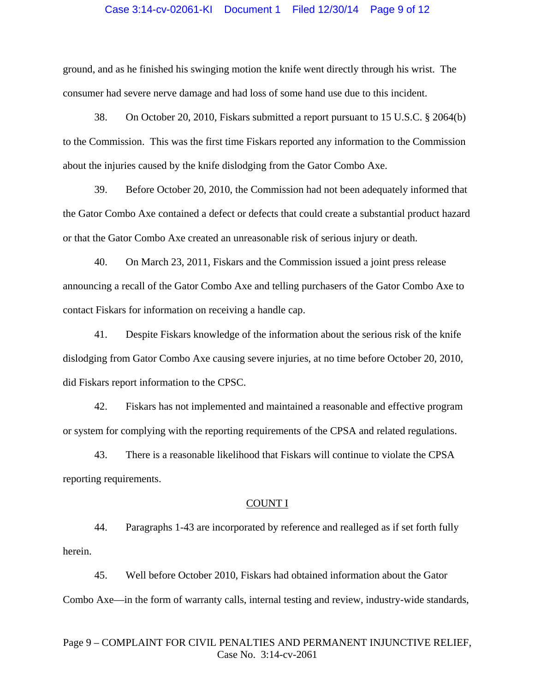### Case 3:14-cv-02061-KI Document 1 Filed 12/30/14 Page 9 of 12

ground, and as he finished his swinging motion the knife went directly through his wrist. The consumer had severe nerve damage and had loss of some hand use due to this incident.

38. On October 20, 2010, Fiskars submitted a report pursuant to 15 U.S.C. § 2064(b) to the Commission. This was the first time Fiskars reported any information to the Commission about the injuries caused by the knife dislodging from the Gator Combo Axe.

39. Before October 20, 2010, the Commission had not been adequately informed that the Gator Combo Axe contained a defect or defects that could create a substantial product hazard or that the Gator Combo Axe created an unreasonable risk of serious injury or death.

40. On March 23, 2011, Fiskars and the Commission issued a joint press release announcing a recall of the Gator Combo Axe and telling purchasers of the Gator Combo Axe to contact Fiskars for information on receiving a handle cap.

41. Despite Fiskars knowledge of the information about the serious risk of the knife dislodging from Gator Combo Axe causing severe injuries, at no time before October 20, 2010, did Fiskars report information to the CPSC.

42. Fiskars has not implemented and maintained a reasonable and effective program or system for complying with the reporting requirements of the CPSA and related regulations.

43. There is a reasonable likelihood that Fiskars will continue to violate the CPSA reporting requirements.

#### COUNT I

44. Paragraphs 1-43 are incorporated by reference and realleged as if set forth fully herein.

45. Well before October 2010, Fiskars had obtained information about the Gator Combo Axe—in the form of warranty calls, internal testing and review, industry-wide standards,

## Page 9 – COMPLAINT FOR CIVIL PENALTIES AND PERMANENT INJUNCTIVE RELIEF, Case No. 3:14-cv-2061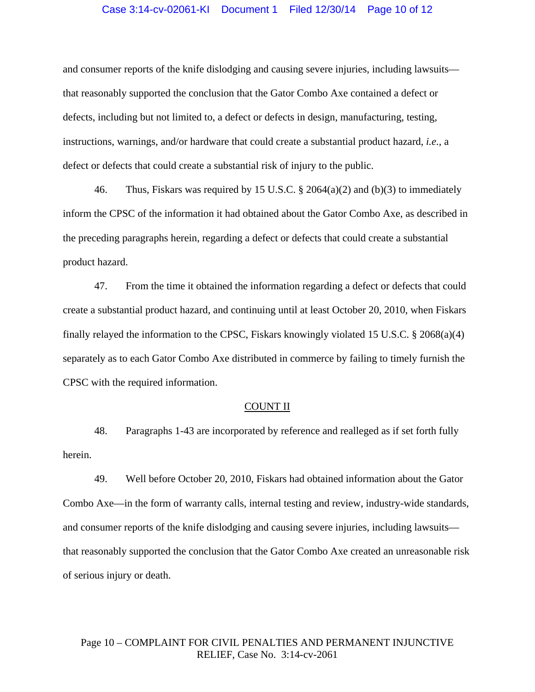### Case 3:14-cv-02061-KI Document 1 Filed 12/30/14 Page 10 of 12

and consumer reports of the knife dislodging and causing severe injuries, including lawsuits that reasonably supported the conclusion that the Gator Combo Axe contained a defect or defects, including but not limited to, a defect or defects in design, manufacturing, testing, instructions, warnings, and/or hardware that could create a substantial product hazard, *i.e.*, a defect or defects that could create a substantial risk of injury to the public.

46. Thus, Fiskars was required by 15 U.S.C. § 2064(a)(2) and (b)(3) to immediately inform the CPSC of the information it had obtained about the Gator Combo Axe, as described in the preceding paragraphs herein, regarding a defect or defects that could create a substantial product hazard.

47. From the time it obtained the information regarding a defect or defects that could create a substantial product hazard, and continuing until at least October 20, 2010, when Fiskars finally relayed the information to the CPSC, Fiskars knowingly violated 15 U.S.C. § 2068(a)(4) separately as to each Gator Combo Axe distributed in commerce by failing to timely furnish the CPSC with the required information.

#### COUNT II

48. Paragraphs 1-43 are incorporated by reference and realleged as if set forth fully herein.

49. Well before October 20, 2010, Fiskars had obtained information about the Gator Combo Axe—in the form of warranty calls, internal testing and review, industry-wide standards, and consumer reports of the knife dislodging and causing severe injuries, including lawsuits that reasonably supported the conclusion that the Gator Combo Axe created an unreasonable risk of serious injury or death.

# Page 10 – COMPLAINT FOR CIVIL PENALTIES AND PERMANENT INJUNCTIVE RELIEF, Case No. 3:14-cv-2061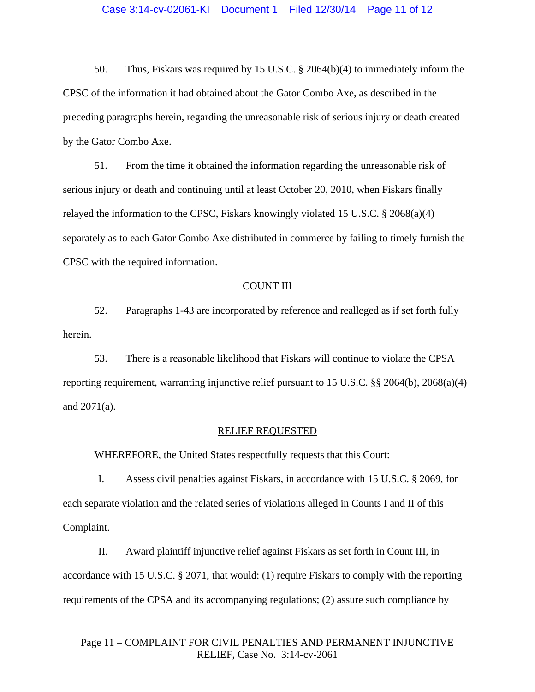### Case 3:14-cv-02061-KI Document 1 Filed 12/30/14 Page 11 of 12

50. Thus, Fiskars was required by 15 U.S.C. § 2064(b)(4) to immediately inform the CPSC of the information it had obtained about the Gator Combo Axe, as described in the preceding paragraphs herein, regarding the unreasonable risk of serious injury or death created by the Gator Combo Axe.

51. From the time it obtained the information regarding the unreasonable risk of serious injury or death and continuing until at least October 20, 2010, when Fiskars finally relayed the information to the CPSC, Fiskars knowingly violated 15 U.S.C.  $\S 2068(a)(4)$ separately as to each Gator Combo Axe distributed in commerce by failing to timely furnish the CPSC with the required information.

#### COUNT III

52. Paragraphs 1-43 are incorporated by reference and realleged as if set forth fully herein.

53. There is a reasonable likelihood that Fiskars will continue to violate the CPSA reporting requirement, warranting injunctive relief pursuant to 15 U.S.C. §§ 2064(b), 2068(a)(4) and 2071(a).

#### RELIEF REQUESTED

WHEREFORE, the United States respectfully requests that this Court:

I. Assess civil penalties against Fiskars, in accordance with 15 U.S.C. § 2069, for each separate violation and the related series of violations alleged in Counts I and II of this Complaint.

II. Award plaintiff injunctive relief against Fiskars as set forth in Count III, in accordance with 15 U.S.C. § 2071, that would: (1) require Fiskars to comply with the reporting requirements of the CPSA and its accompanying regulations; (2) assure such compliance by

# Page 11 – COMPLAINT FOR CIVIL PENALTIES AND PERMANENT INJUNCTIVE RELIEF, Case No. 3:14-cv-2061